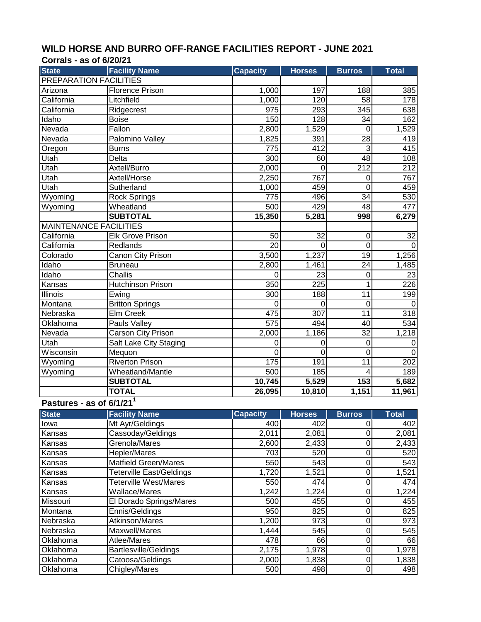## WILD HORSE AND BURRO OFF-RANGE FACILITIES REPORT - JUNE 2021<br>Corrals - 35 of 6/20/21

| <b>State</b><br><b>Facility Name</b><br><b>Capacity</b><br><b>Horses</b><br><b>Total</b><br><b>Burros</b><br><b>PREPARATION FACILITIES</b><br><b>Florence Prison</b><br>197<br>188<br>385<br>Arizona<br>1,000<br>California<br>Litchfield<br>1,000<br>120<br>58<br>178<br>$\overline{345}$<br>California<br>293<br>Ridgecrest<br>975<br>638<br>150<br>Idaho<br>128<br>34<br>162<br><b>Boise</b><br>Fallon<br>2,800<br>Nevada<br>1,529<br>1,529<br>0<br>Nevada<br>1,825<br>28<br>Palomino Valley<br>391<br>419<br>775<br>412<br>3<br>415<br><b>Burns</b><br>Oregon<br>$\overline{300}$<br>48<br>Utah<br>Delta<br>60<br>108<br>$\overline{212}$<br>Axtell/Burro<br>212<br>Utah<br>2,000<br>0<br>Axtell/Horse<br>2,250<br>767<br>Utah<br>$\boldsymbol{0}$<br>767<br>Sutherland<br>Utah<br>459<br>$\overline{0}$<br>1,000<br>459<br>$\overline{34}$<br>Wyoming<br>775<br>496<br>530<br><b>Rock Springs</b><br>500<br>429<br>Wyoming<br>Wheatland<br>48<br>477<br><b>SUBTOTAL</b><br>15,350<br>5,281<br>998<br>6,279<br><b>MAINTENANCE FACILITIES</b><br>$\overline{32}$<br><b>Elk Grove Prison</b><br>$\overline{32}$<br>$\overline{0}$<br>50<br>$\overline{0}$<br>Redlands<br>$\overline{20}$<br>California<br>$\Omega$<br>0<br><b>Canon City Prison</b><br>3,500<br>1,237<br>$\overline{19}$<br>1,256<br>Colorado<br>Idaho<br>24<br><b>Bruneau</b><br>2,800<br>1,461<br>1,485<br>Idaho<br>23<br>Challis<br>23<br>0<br>0<br><b>Hutchinson Prison</b><br>350<br>225<br>226<br>Kansas<br>300<br>188<br>11<br>Illinois<br>199<br>Ewing<br><b>Britton Springs</b><br>Montana<br>$\mathbf 0$<br>$\mathbf 0$<br>0<br>$\mathbf 0$<br>Nebraska<br>Elm Creek<br>475<br>307<br>11<br>318<br>534<br>575<br>494<br>Oklahoma<br>Pauls Valley<br>40<br>$\overline{32}$<br>Nevada<br><b>Carson City Prison</b><br>2,000<br>1,186<br>1,218<br>Utah<br>Salt Lake City Staging<br>0<br>0<br>0<br>0<br>Wisconsin<br>$\overline{0}$<br>$\mathbf 0$<br>Mequon<br>0<br>$\mathbf 0$<br><b>Riverton Prison</b><br>$\overline{202}$<br>Wyoming<br>175<br>191<br>11<br>Wheatland/Mantle<br>500<br>Wyoming<br>185<br>189<br>4<br><b>SUBTOTAL</b><br>10,745<br>$\overline{5,529}$<br>153<br>5,682<br><b>TOTAL</b><br>26,095<br>10,810<br>1,151<br>11,961<br>Pastures - as of 6/1/21 <sup>1</sup><br><b>State</b><br><b>Facility Name</b><br><b>Capacity</b><br><b>Horses</b><br><b>Burros</b><br><b>Total</b><br>Mt Ayr/Geldings<br>400<br>402<br>$\mathbf 0$<br>402<br>lowa<br>2,081<br>$\overline{\mathsf{o}}$<br>Cassoday/Geldings<br>2,011<br>$\overline{2,}081$<br>Kansas<br>Grenola/Mares<br>$\mathbf 0$<br>2,600<br>2,433<br>2,433<br>Kansas<br>$\overline{0}$<br>Hepler/Mares<br>703<br>520<br>520<br>Kansas<br>$\overline{0}$<br><b>Matfield Green/Mares</b><br>550<br>543<br>543<br>Kansas<br>$\overline{0}$<br><b>Teterville East/Geldings</b><br>1,720<br>1,521<br>1,521<br>Kansas<br>550<br>$\mathbf 0$<br><b>Teterville West/Mares</b><br>474<br>474<br>Kansas<br>1,242<br>$\overline{\mathsf{o}}$<br>Wallace/Mares<br>1,224<br>1,224<br>Kansas<br>455<br>$\pmb{0}$<br>Missouri<br>El Dorado Springs/Mares<br>500<br>455<br>950<br>825<br>$\pmb{0}$<br>Montana<br>Ennis/Geldings<br>825<br>$\overline{0}$<br>1,200<br>973<br>Nebraska<br>Atkinson/Mares<br>973<br>$\overline{0}$<br>545<br>Nebraska<br>Maxwell/Mares<br>1,444<br>545<br>478<br>$\mathbf 0$<br>Atlee/Mares<br>66<br>Oklahoma<br>66 | <b>Corrals - as of 6/20/21</b> |                       |       |       |           |       |
|----------------------------------------------------------------------------------------------------------------------------------------------------------------------------------------------------------------------------------------------------------------------------------------------------------------------------------------------------------------------------------------------------------------------------------------------------------------------------------------------------------------------------------------------------------------------------------------------------------------------------------------------------------------------------------------------------------------------------------------------------------------------------------------------------------------------------------------------------------------------------------------------------------------------------------------------------------------------------------------------------------------------------------------------------------------------------------------------------------------------------------------------------------------------------------------------------------------------------------------------------------------------------------------------------------------------------------------------------------------------------------------------------------------------------------------------------------------------------------------------------------------------------------------------------------------------------------------------------------------------------------------------------------------------------------------------------------------------------------------------------------------------------------------------------------------------------------------------------------------------------------------------------------------------------------------------------------------------------------------------------------------------------------------------------------------------------------------------------------------------------------------------------------------------------------------------------------------------------------------------------------------------------------------------------------------------------------------------------------------------------------------------------------------------------------------------------------------------------------------------------------------------------------------------------------------------------------------------------------------------------------------------------------------------------------------------------------------------------------------------------------------------------------------------------------------------------------------------------------------------------------------------------------------------------------------------------------------------------------------------------------------------------------------------------------------------------------------------------------------------------------------------------------------------------------------------------------------------------------------------------------------------------------------------------------------------------------------------------------------------------------|--------------------------------|-----------------------|-------|-------|-----------|-------|
|                                                                                                                                                                                                                                                                                                                                                                                                                                                                                                                                                                                                                                                                                                                                                                                                                                                                                                                                                                                                                                                                                                                                                                                                                                                                                                                                                                                                                                                                                                                                                                                                                                                                                                                                                                                                                                                                                                                                                                                                                                                                                                                                                                                                                                                                                                                                                                                                                                                                                                                                                                                                                                                                                                                                                                                                                                                                                                                                                                                                                                                                                                                                                                                                                                                                                                                                                                                  |                                |                       |       |       |           |       |
|                                                                                                                                                                                                                                                                                                                                                                                                                                                                                                                                                                                                                                                                                                                                                                                                                                                                                                                                                                                                                                                                                                                                                                                                                                                                                                                                                                                                                                                                                                                                                                                                                                                                                                                                                                                                                                                                                                                                                                                                                                                                                                                                                                                                                                                                                                                                                                                                                                                                                                                                                                                                                                                                                                                                                                                                                                                                                                                                                                                                                                                                                                                                                                                                                                                                                                                                                                                  |                                |                       |       |       |           |       |
|                                                                                                                                                                                                                                                                                                                                                                                                                                                                                                                                                                                                                                                                                                                                                                                                                                                                                                                                                                                                                                                                                                                                                                                                                                                                                                                                                                                                                                                                                                                                                                                                                                                                                                                                                                                                                                                                                                                                                                                                                                                                                                                                                                                                                                                                                                                                                                                                                                                                                                                                                                                                                                                                                                                                                                                                                                                                                                                                                                                                                                                                                                                                                                                                                                                                                                                                                                                  |                                |                       |       |       |           |       |
|                                                                                                                                                                                                                                                                                                                                                                                                                                                                                                                                                                                                                                                                                                                                                                                                                                                                                                                                                                                                                                                                                                                                                                                                                                                                                                                                                                                                                                                                                                                                                                                                                                                                                                                                                                                                                                                                                                                                                                                                                                                                                                                                                                                                                                                                                                                                                                                                                                                                                                                                                                                                                                                                                                                                                                                                                                                                                                                                                                                                                                                                                                                                                                                                                                                                                                                                                                                  |                                |                       |       |       |           |       |
|                                                                                                                                                                                                                                                                                                                                                                                                                                                                                                                                                                                                                                                                                                                                                                                                                                                                                                                                                                                                                                                                                                                                                                                                                                                                                                                                                                                                                                                                                                                                                                                                                                                                                                                                                                                                                                                                                                                                                                                                                                                                                                                                                                                                                                                                                                                                                                                                                                                                                                                                                                                                                                                                                                                                                                                                                                                                                                                                                                                                                                                                                                                                                                                                                                                                                                                                                                                  |                                |                       |       |       |           |       |
|                                                                                                                                                                                                                                                                                                                                                                                                                                                                                                                                                                                                                                                                                                                                                                                                                                                                                                                                                                                                                                                                                                                                                                                                                                                                                                                                                                                                                                                                                                                                                                                                                                                                                                                                                                                                                                                                                                                                                                                                                                                                                                                                                                                                                                                                                                                                                                                                                                                                                                                                                                                                                                                                                                                                                                                                                                                                                                                                                                                                                                                                                                                                                                                                                                                                                                                                                                                  |                                |                       |       |       |           |       |
|                                                                                                                                                                                                                                                                                                                                                                                                                                                                                                                                                                                                                                                                                                                                                                                                                                                                                                                                                                                                                                                                                                                                                                                                                                                                                                                                                                                                                                                                                                                                                                                                                                                                                                                                                                                                                                                                                                                                                                                                                                                                                                                                                                                                                                                                                                                                                                                                                                                                                                                                                                                                                                                                                                                                                                                                                                                                                                                                                                                                                                                                                                                                                                                                                                                                                                                                                                                  |                                |                       |       |       |           |       |
|                                                                                                                                                                                                                                                                                                                                                                                                                                                                                                                                                                                                                                                                                                                                                                                                                                                                                                                                                                                                                                                                                                                                                                                                                                                                                                                                                                                                                                                                                                                                                                                                                                                                                                                                                                                                                                                                                                                                                                                                                                                                                                                                                                                                                                                                                                                                                                                                                                                                                                                                                                                                                                                                                                                                                                                                                                                                                                                                                                                                                                                                                                                                                                                                                                                                                                                                                                                  |                                |                       |       |       |           |       |
|                                                                                                                                                                                                                                                                                                                                                                                                                                                                                                                                                                                                                                                                                                                                                                                                                                                                                                                                                                                                                                                                                                                                                                                                                                                                                                                                                                                                                                                                                                                                                                                                                                                                                                                                                                                                                                                                                                                                                                                                                                                                                                                                                                                                                                                                                                                                                                                                                                                                                                                                                                                                                                                                                                                                                                                                                                                                                                                                                                                                                                                                                                                                                                                                                                                                                                                                                                                  |                                |                       |       |       |           |       |
|                                                                                                                                                                                                                                                                                                                                                                                                                                                                                                                                                                                                                                                                                                                                                                                                                                                                                                                                                                                                                                                                                                                                                                                                                                                                                                                                                                                                                                                                                                                                                                                                                                                                                                                                                                                                                                                                                                                                                                                                                                                                                                                                                                                                                                                                                                                                                                                                                                                                                                                                                                                                                                                                                                                                                                                                                                                                                                                                                                                                                                                                                                                                                                                                                                                                                                                                                                                  |                                |                       |       |       |           |       |
|                                                                                                                                                                                                                                                                                                                                                                                                                                                                                                                                                                                                                                                                                                                                                                                                                                                                                                                                                                                                                                                                                                                                                                                                                                                                                                                                                                                                                                                                                                                                                                                                                                                                                                                                                                                                                                                                                                                                                                                                                                                                                                                                                                                                                                                                                                                                                                                                                                                                                                                                                                                                                                                                                                                                                                                                                                                                                                                                                                                                                                                                                                                                                                                                                                                                                                                                                                                  |                                |                       |       |       |           |       |
|                                                                                                                                                                                                                                                                                                                                                                                                                                                                                                                                                                                                                                                                                                                                                                                                                                                                                                                                                                                                                                                                                                                                                                                                                                                                                                                                                                                                                                                                                                                                                                                                                                                                                                                                                                                                                                                                                                                                                                                                                                                                                                                                                                                                                                                                                                                                                                                                                                                                                                                                                                                                                                                                                                                                                                                                                                                                                                                                                                                                                                                                                                                                                                                                                                                                                                                                                                                  |                                |                       |       |       |           |       |
|                                                                                                                                                                                                                                                                                                                                                                                                                                                                                                                                                                                                                                                                                                                                                                                                                                                                                                                                                                                                                                                                                                                                                                                                                                                                                                                                                                                                                                                                                                                                                                                                                                                                                                                                                                                                                                                                                                                                                                                                                                                                                                                                                                                                                                                                                                                                                                                                                                                                                                                                                                                                                                                                                                                                                                                                                                                                                                                                                                                                                                                                                                                                                                                                                                                                                                                                                                                  |                                |                       |       |       |           |       |
|                                                                                                                                                                                                                                                                                                                                                                                                                                                                                                                                                                                                                                                                                                                                                                                                                                                                                                                                                                                                                                                                                                                                                                                                                                                                                                                                                                                                                                                                                                                                                                                                                                                                                                                                                                                                                                                                                                                                                                                                                                                                                                                                                                                                                                                                                                                                                                                                                                                                                                                                                                                                                                                                                                                                                                                                                                                                                                                                                                                                                                                                                                                                                                                                                                                                                                                                                                                  |                                |                       |       |       |           |       |
|                                                                                                                                                                                                                                                                                                                                                                                                                                                                                                                                                                                                                                                                                                                                                                                                                                                                                                                                                                                                                                                                                                                                                                                                                                                                                                                                                                                                                                                                                                                                                                                                                                                                                                                                                                                                                                                                                                                                                                                                                                                                                                                                                                                                                                                                                                                                                                                                                                                                                                                                                                                                                                                                                                                                                                                                                                                                                                                                                                                                                                                                                                                                                                                                                                                                                                                                                                                  |                                |                       |       |       |           |       |
|                                                                                                                                                                                                                                                                                                                                                                                                                                                                                                                                                                                                                                                                                                                                                                                                                                                                                                                                                                                                                                                                                                                                                                                                                                                                                                                                                                                                                                                                                                                                                                                                                                                                                                                                                                                                                                                                                                                                                                                                                                                                                                                                                                                                                                                                                                                                                                                                                                                                                                                                                                                                                                                                                                                                                                                                                                                                                                                                                                                                                                                                                                                                                                                                                                                                                                                                                                                  |                                |                       |       |       |           |       |
|                                                                                                                                                                                                                                                                                                                                                                                                                                                                                                                                                                                                                                                                                                                                                                                                                                                                                                                                                                                                                                                                                                                                                                                                                                                                                                                                                                                                                                                                                                                                                                                                                                                                                                                                                                                                                                                                                                                                                                                                                                                                                                                                                                                                                                                                                                                                                                                                                                                                                                                                                                                                                                                                                                                                                                                                                                                                                                                                                                                                                                                                                                                                                                                                                                                                                                                                                                                  |                                |                       |       |       |           |       |
|                                                                                                                                                                                                                                                                                                                                                                                                                                                                                                                                                                                                                                                                                                                                                                                                                                                                                                                                                                                                                                                                                                                                                                                                                                                                                                                                                                                                                                                                                                                                                                                                                                                                                                                                                                                                                                                                                                                                                                                                                                                                                                                                                                                                                                                                                                                                                                                                                                                                                                                                                                                                                                                                                                                                                                                                                                                                                                                                                                                                                                                                                                                                                                                                                                                                                                                                                                                  | California                     |                       |       |       |           |       |
|                                                                                                                                                                                                                                                                                                                                                                                                                                                                                                                                                                                                                                                                                                                                                                                                                                                                                                                                                                                                                                                                                                                                                                                                                                                                                                                                                                                                                                                                                                                                                                                                                                                                                                                                                                                                                                                                                                                                                                                                                                                                                                                                                                                                                                                                                                                                                                                                                                                                                                                                                                                                                                                                                                                                                                                                                                                                                                                                                                                                                                                                                                                                                                                                                                                                                                                                                                                  |                                |                       |       |       |           |       |
|                                                                                                                                                                                                                                                                                                                                                                                                                                                                                                                                                                                                                                                                                                                                                                                                                                                                                                                                                                                                                                                                                                                                                                                                                                                                                                                                                                                                                                                                                                                                                                                                                                                                                                                                                                                                                                                                                                                                                                                                                                                                                                                                                                                                                                                                                                                                                                                                                                                                                                                                                                                                                                                                                                                                                                                                                                                                                                                                                                                                                                                                                                                                                                                                                                                                                                                                                                                  |                                |                       |       |       |           |       |
|                                                                                                                                                                                                                                                                                                                                                                                                                                                                                                                                                                                                                                                                                                                                                                                                                                                                                                                                                                                                                                                                                                                                                                                                                                                                                                                                                                                                                                                                                                                                                                                                                                                                                                                                                                                                                                                                                                                                                                                                                                                                                                                                                                                                                                                                                                                                                                                                                                                                                                                                                                                                                                                                                                                                                                                                                                                                                                                                                                                                                                                                                                                                                                                                                                                                                                                                                                                  |                                |                       |       |       |           |       |
|                                                                                                                                                                                                                                                                                                                                                                                                                                                                                                                                                                                                                                                                                                                                                                                                                                                                                                                                                                                                                                                                                                                                                                                                                                                                                                                                                                                                                                                                                                                                                                                                                                                                                                                                                                                                                                                                                                                                                                                                                                                                                                                                                                                                                                                                                                                                                                                                                                                                                                                                                                                                                                                                                                                                                                                                                                                                                                                                                                                                                                                                                                                                                                                                                                                                                                                                                                                  |                                |                       |       |       |           |       |
|                                                                                                                                                                                                                                                                                                                                                                                                                                                                                                                                                                                                                                                                                                                                                                                                                                                                                                                                                                                                                                                                                                                                                                                                                                                                                                                                                                                                                                                                                                                                                                                                                                                                                                                                                                                                                                                                                                                                                                                                                                                                                                                                                                                                                                                                                                                                                                                                                                                                                                                                                                                                                                                                                                                                                                                                                                                                                                                                                                                                                                                                                                                                                                                                                                                                                                                                                                                  |                                |                       |       |       |           |       |
|                                                                                                                                                                                                                                                                                                                                                                                                                                                                                                                                                                                                                                                                                                                                                                                                                                                                                                                                                                                                                                                                                                                                                                                                                                                                                                                                                                                                                                                                                                                                                                                                                                                                                                                                                                                                                                                                                                                                                                                                                                                                                                                                                                                                                                                                                                                                                                                                                                                                                                                                                                                                                                                                                                                                                                                                                                                                                                                                                                                                                                                                                                                                                                                                                                                                                                                                                                                  |                                |                       |       |       |           |       |
|                                                                                                                                                                                                                                                                                                                                                                                                                                                                                                                                                                                                                                                                                                                                                                                                                                                                                                                                                                                                                                                                                                                                                                                                                                                                                                                                                                                                                                                                                                                                                                                                                                                                                                                                                                                                                                                                                                                                                                                                                                                                                                                                                                                                                                                                                                                                                                                                                                                                                                                                                                                                                                                                                                                                                                                                                                                                                                                                                                                                                                                                                                                                                                                                                                                                                                                                                                                  |                                |                       |       |       |           |       |
|                                                                                                                                                                                                                                                                                                                                                                                                                                                                                                                                                                                                                                                                                                                                                                                                                                                                                                                                                                                                                                                                                                                                                                                                                                                                                                                                                                                                                                                                                                                                                                                                                                                                                                                                                                                                                                                                                                                                                                                                                                                                                                                                                                                                                                                                                                                                                                                                                                                                                                                                                                                                                                                                                                                                                                                                                                                                                                                                                                                                                                                                                                                                                                                                                                                                                                                                                                                  |                                |                       |       |       |           |       |
|                                                                                                                                                                                                                                                                                                                                                                                                                                                                                                                                                                                                                                                                                                                                                                                                                                                                                                                                                                                                                                                                                                                                                                                                                                                                                                                                                                                                                                                                                                                                                                                                                                                                                                                                                                                                                                                                                                                                                                                                                                                                                                                                                                                                                                                                                                                                                                                                                                                                                                                                                                                                                                                                                                                                                                                                                                                                                                                                                                                                                                                                                                                                                                                                                                                                                                                                                                                  |                                |                       |       |       |           |       |
|                                                                                                                                                                                                                                                                                                                                                                                                                                                                                                                                                                                                                                                                                                                                                                                                                                                                                                                                                                                                                                                                                                                                                                                                                                                                                                                                                                                                                                                                                                                                                                                                                                                                                                                                                                                                                                                                                                                                                                                                                                                                                                                                                                                                                                                                                                                                                                                                                                                                                                                                                                                                                                                                                                                                                                                                                                                                                                                                                                                                                                                                                                                                                                                                                                                                                                                                                                                  |                                |                       |       |       |           |       |
|                                                                                                                                                                                                                                                                                                                                                                                                                                                                                                                                                                                                                                                                                                                                                                                                                                                                                                                                                                                                                                                                                                                                                                                                                                                                                                                                                                                                                                                                                                                                                                                                                                                                                                                                                                                                                                                                                                                                                                                                                                                                                                                                                                                                                                                                                                                                                                                                                                                                                                                                                                                                                                                                                                                                                                                                                                                                                                                                                                                                                                                                                                                                                                                                                                                                                                                                                                                  |                                |                       |       |       |           |       |
|                                                                                                                                                                                                                                                                                                                                                                                                                                                                                                                                                                                                                                                                                                                                                                                                                                                                                                                                                                                                                                                                                                                                                                                                                                                                                                                                                                                                                                                                                                                                                                                                                                                                                                                                                                                                                                                                                                                                                                                                                                                                                                                                                                                                                                                                                                                                                                                                                                                                                                                                                                                                                                                                                                                                                                                                                                                                                                                                                                                                                                                                                                                                                                                                                                                                                                                                                                                  |                                |                       |       |       |           |       |
|                                                                                                                                                                                                                                                                                                                                                                                                                                                                                                                                                                                                                                                                                                                                                                                                                                                                                                                                                                                                                                                                                                                                                                                                                                                                                                                                                                                                                                                                                                                                                                                                                                                                                                                                                                                                                                                                                                                                                                                                                                                                                                                                                                                                                                                                                                                                                                                                                                                                                                                                                                                                                                                                                                                                                                                                                                                                                                                                                                                                                                                                                                                                                                                                                                                                                                                                                                                  |                                |                       |       |       |           |       |
|                                                                                                                                                                                                                                                                                                                                                                                                                                                                                                                                                                                                                                                                                                                                                                                                                                                                                                                                                                                                                                                                                                                                                                                                                                                                                                                                                                                                                                                                                                                                                                                                                                                                                                                                                                                                                                                                                                                                                                                                                                                                                                                                                                                                                                                                                                                                                                                                                                                                                                                                                                                                                                                                                                                                                                                                                                                                                                                                                                                                                                                                                                                                                                                                                                                                                                                                                                                  |                                |                       |       |       |           |       |
|                                                                                                                                                                                                                                                                                                                                                                                                                                                                                                                                                                                                                                                                                                                                                                                                                                                                                                                                                                                                                                                                                                                                                                                                                                                                                                                                                                                                                                                                                                                                                                                                                                                                                                                                                                                                                                                                                                                                                                                                                                                                                                                                                                                                                                                                                                                                                                                                                                                                                                                                                                                                                                                                                                                                                                                                                                                                                                                                                                                                                                                                                                                                                                                                                                                                                                                                                                                  |                                |                       |       |       |           |       |
|                                                                                                                                                                                                                                                                                                                                                                                                                                                                                                                                                                                                                                                                                                                                                                                                                                                                                                                                                                                                                                                                                                                                                                                                                                                                                                                                                                                                                                                                                                                                                                                                                                                                                                                                                                                                                                                                                                                                                                                                                                                                                                                                                                                                                                                                                                                                                                                                                                                                                                                                                                                                                                                                                                                                                                                                                                                                                                                                                                                                                                                                                                                                                                                                                                                                                                                                                                                  |                                |                       |       |       |           |       |
|                                                                                                                                                                                                                                                                                                                                                                                                                                                                                                                                                                                                                                                                                                                                                                                                                                                                                                                                                                                                                                                                                                                                                                                                                                                                                                                                                                                                                                                                                                                                                                                                                                                                                                                                                                                                                                                                                                                                                                                                                                                                                                                                                                                                                                                                                                                                                                                                                                                                                                                                                                                                                                                                                                                                                                                                                                                                                                                                                                                                                                                                                                                                                                                                                                                                                                                                                                                  |                                |                       |       |       |           |       |
|                                                                                                                                                                                                                                                                                                                                                                                                                                                                                                                                                                                                                                                                                                                                                                                                                                                                                                                                                                                                                                                                                                                                                                                                                                                                                                                                                                                                                                                                                                                                                                                                                                                                                                                                                                                                                                                                                                                                                                                                                                                                                                                                                                                                                                                                                                                                                                                                                                                                                                                                                                                                                                                                                                                                                                                                                                                                                                                                                                                                                                                                                                                                                                                                                                                                                                                                                                                  |                                |                       |       |       |           |       |
|                                                                                                                                                                                                                                                                                                                                                                                                                                                                                                                                                                                                                                                                                                                                                                                                                                                                                                                                                                                                                                                                                                                                                                                                                                                                                                                                                                                                                                                                                                                                                                                                                                                                                                                                                                                                                                                                                                                                                                                                                                                                                                                                                                                                                                                                                                                                                                                                                                                                                                                                                                                                                                                                                                                                                                                                                                                                                                                                                                                                                                                                                                                                                                                                                                                                                                                                                                                  |                                |                       |       |       |           |       |
|                                                                                                                                                                                                                                                                                                                                                                                                                                                                                                                                                                                                                                                                                                                                                                                                                                                                                                                                                                                                                                                                                                                                                                                                                                                                                                                                                                                                                                                                                                                                                                                                                                                                                                                                                                                                                                                                                                                                                                                                                                                                                                                                                                                                                                                                                                                                                                                                                                                                                                                                                                                                                                                                                                                                                                                                                                                                                                                                                                                                                                                                                                                                                                                                                                                                                                                                                                                  |                                |                       |       |       |           |       |
|                                                                                                                                                                                                                                                                                                                                                                                                                                                                                                                                                                                                                                                                                                                                                                                                                                                                                                                                                                                                                                                                                                                                                                                                                                                                                                                                                                                                                                                                                                                                                                                                                                                                                                                                                                                                                                                                                                                                                                                                                                                                                                                                                                                                                                                                                                                                                                                                                                                                                                                                                                                                                                                                                                                                                                                                                                                                                                                                                                                                                                                                                                                                                                                                                                                                                                                                                                                  |                                |                       |       |       |           |       |
|                                                                                                                                                                                                                                                                                                                                                                                                                                                                                                                                                                                                                                                                                                                                                                                                                                                                                                                                                                                                                                                                                                                                                                                                                                                                                                                                                                                                                                                                                                                                                                                                                                                                                                                                                                                                                                                                                                                                                                                                                                                                                                                                                                                                                                                                                                                                                                                                                                                                                                                                                                                                                                                                                                                                                                                                                                                                                                                                                                                                                                                                                                                                                                                                                                                                                                                                                                                  |                                |                       |       |       |           |       |
|                                                                                                                                                                                                                                                                                                                                                                                                                                                                                                                                                                                                                                                                                                                                                                                                                                                                                                                                                                                                                                                                                                                                                                                                                                                                                                                                                                                                                                                                                                                                                                                                                                                                                                                                                                                                                                                                                                                                                                                                                                                                                                                                                                                                                                                                                                                                                                                                                                                                                                                                                                                                                                                                                                                                                                                                                                                                                                                                                                                                                                                                                                                                                                                                                                                                                                                                                                                  |                                |                       |       |       |           |       |
|                                                                                                                                                                                                                                                                                                                                                                                                                                                                                                                                                                                                                                                                                                                                                                                                                                                                                                                                                                                                                                                                                                                                                                                                                                                                                                                                                                                                                                                                                                                                                                                                                                                                                                                                                                                                                                                                                                                                                                                                                                                                                                                                                                                                                                                                                                                                                                                                                                                                                                                                                                                                                                                                                                                                                                                                                                                                                                                                                                                                                                                                                                                                                                                                                                                                                                                                                                                  |                                |                       |       |       |           |       |
|                                                                                                                                                                                                                                                                                                                                                                                                                                                                                                                                                                                                                                                                                                                                                                                                                                                                                                                                                                                                                                                                                                                                                                                                                                                                                                                                                                                                                                                                                                                                                                                                                                                                                                                                                                                                                                                                                                                                                                                                                                                                                                                                                                                                                                                                                                                                                                                                                                                                                                                                                                                                                                                                                                                                                                                                                                                                                                                                                                                                                                                                                                                                                                                                                                                                                                                                                                                  |                                |                       |       |       |           |       |
|                                                                                                                                                                                                                                                                                                                                                                                                                                                                                                                                                                                                                                                                                                                                                                                                                                                                                                                                                                                                                                                                                                                                                                                                                                                                                                                                                                                                                                                                                                                                                                                                                                                                                                                                                                                                                                                                                                                                                                                                                                                                                                                                                                                                                                                                                                                                                                                                                                                                                                                                                                                                                                                                                                                                                                                                                                                                                                                                                                                                                                                                                                                                                                                                                                                                                                                                                                                  |                                |                       |       |       |           |       |
|                                                                                                                                                                                                                                                                                                                                                                                                                                                                                                                                                                                                                                                                                                                                                                                                                                                                                                                                                                                                                                                                                                                                                                                                                                                                                                                                                                                                                                                                                                                                                                                                                                                                                                                                                                                                                                                                                                                                                                                                                                                                                                                                                                                                                                                                                                                                                                                                                                                                                                                                                                                                                                                                                                                                                                                                                                                                                                                                                                                                                                                                                                                                                                                                                                                                                                                                                                                  |                                |                       |       |       |           |       |
|                                                                                                                                                                                                                                                                                                                                                                                                                                                                                                                                                                                                                                                                                                                                                                                                                                                                                                                                                                                                                                                                                                                                                                                                                                                                                                                                                                                                                                                                                                                                                                                                                                                                                                                                                                                                                                                                                                                                                                                                                                                                                                                                                                                                                                                                                                                                                                                                                                                                                                                                                                                                                                                                                                                                                                                                                                                                                                                                                                                                                                                                                                                                                                                                                                                                                                                                                                                  |                                |                       |       |       |           |       |
|                                                                                                                                                                                                                                                                                                                                                                                                                                                                                                                                                                                                                                                                                                                                                                                                                                                                                                                                                                                                                                                                                                                                                                                                                                                                                                                                                                                                                                                                                                                                                                                                                                                                                                                                                                                                                                                                                                                                                                                                                                                                                                                                                                                                                                                                                                                                                                                                                                                                                                                                                                                                                                                                                                                                                                                                                                                                                                                                                                                                                                                                                                                                                                                                                                                                                                                                                                                  |                                |                       |       |       |           |       |
|                                                                                                                                                                                                                                                                                                                                                                                                                                                                                                                                                                                                                                                                                                                                                                                                                                                                                                                                                                                                                                                                                                                                                                                                                                                                                                                                                                                                                                                                                                                                                                                                                                                                                                                                                                                                                                                                                                                                                                                                                                                                                                                                                                                                                                                                                                                                                                                                                                                                                                                                                                                                                                                                                                                                                                                                                                                                                                                                                                                                                                                                                                                                                                                                                                                                                                                                                                                  |                                |                       |       |       |           |       |
|                                                                                                                                                                                                                                                                                                                                                                                                                                                                                                                                                                                                                                                                                                                                                                                                                                                                                                                                                                                                                                                                                                                                                                                                                                                                                                                                                                                                                                                                                                                                                                                                                                                                                                                                                                                                                                                                                                                                                                                                                                                                                                                                                                                                                                                                                                                                                                                                                                                                                                                                                                                                                                                                                                                                                                                                                                                                                                                                                                                                                                                                                                                                                                                                                                                                                                                                                                                  |                                |                       |       |       |           |       |
|                                                                                                                                                                                                                                                                                                                                                                                                                                                                                                                                                                                                                                                                                                                                                                                                                                                                                                                                                                                                                                                                                                                                                                                                                                                                                                                                                                                                                                                                                                                                                                                                                                                                                                                                                                                                                                                                                                                                                                                                                                                                                                                                                                                                                                                                                                                                                                                                                                                                                                                                                                                                                                                                                                                                                                                                                                                                                                                                                                                                                                                                                                                                                                                                                                                                                                                                                                                  | Oklahoma                       | Bartlesville/Geldings | 2,175 | 1,978 | $\pmb{0}$ | 1,978 |
| 1,838<br>$\mathbf 0$<br>Oklahoma<br>Catoosa/Geldings<br>2,000<br>1,838                                                                                                                                                                                                                                                                                                                                                                                                                                                                                                                                                                                                                                                                                                                                                                                                                                                                                                                                                                                                                                                                                                                                                                                                                                                                                                                                                                                                                                                                                                                                                                                                                                                                                                                                                                                                                                                                                                                                                                                                                                                                                                                                                                                                                                                                                                                                                                                                                                                                                                                                                                                                                                                                                                                                                                                                                                                                                                                                                                                                                                                                                                                                                                                                                                                                                                           |                                |                       |       |       |           |       |
| $\overline{0}$<br>500<br>498<br>498<br>Oklahoma<br>Chigley/Mares                                                                                                                                                                                                                                                                                                                                                                                                                                                                                                                                                                                                                                                                                                                                                                                                                                                                                                                                                                                                                                                                                                                                                                                                                                                                                                                                                                                                                                                                                                                                                                                                                                                                                                                                                                                                                                                                                                                                                                                                                                                                                                                                                                                                                                                                                                                                                                                                                                                                                                                                                                                                                                                                                                                                                                                                                                                                                                                                                                                                                                                                                                                                                                                                                                                                                                                 |                                |                       |       |       |           |       |